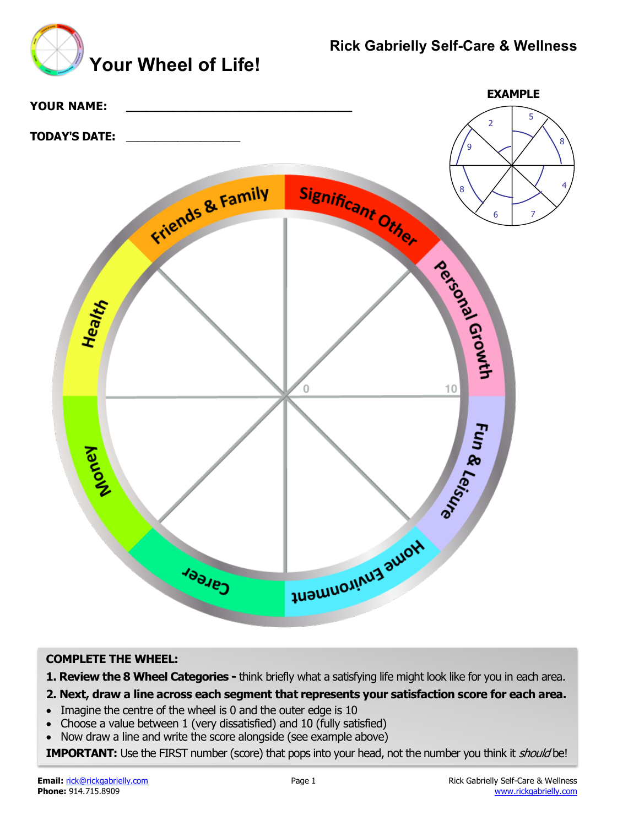# **Rick Gabrielly Self-Care & Wellness**

**EXAMPLE**

 $\overline{2}$ 

9  $\searrow$   $\swarrow$   $\searrow$  8

5

4



### **COMPLETE THE WHEEL:**

**1. Review the 8 Wheel Categories -** think briefly what a satisfying life might look like for you in each area.

### **2. Next, draw a line across each segment that represents your satisfaction score for each area.**

- Imagine the centre of the wheel is 0 and the outer edge is 10
- Choose a value between 1 (very dissatisfied) and 10 (fully satisfied)
- Now draw a line and write the score alongside (see example above)

**IMPORTANT:** Use the FIRST number (score) that pops into your head, not the number you think it *should* be!



**YOUR NAME: \_\_\_\_\_\_\_\_\_\_\_\_\_\_\_\_\_\_\_\_\_\_\_\_\_\_\_\_\_\_\_\_\_\_**

**TODAY'S DATE:** \_\_\_\_\_\_\_\_\_\_\_\_\_\_\_\_\_\_\_\_